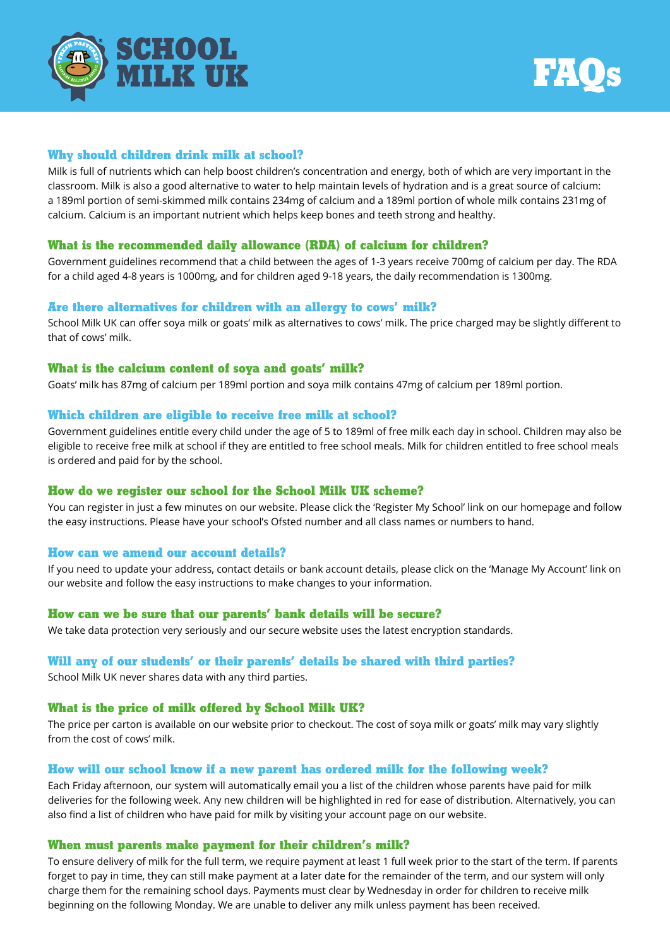



# **Why should children drink milk at school?**

Milk is full of nutrients which can help boost children's concentration and energy, both of which are very important in the classroom. Milk is also a good alternative to water to help maintain levels of hydration and is a great source of calcium: a 189ml portion of semi-skimmed milk contains 234mg of calcium and a 189ml portion of whole milk contains 231mg of calcium. Calcium is an important nutrient which helps keep bones and teeth strong and healthy.

# **What is the recommended daily allowance (RDA) of calcium for children?**

Government guidelines recommend that a child between the ages of 1-3 years receive 700mg of calcium per day. The RDA for a child aged 4-8 years is 1000mg, and for children aged 9-18 years, the daily recommendation is 1300mg.

## **Are there alternatives for children with an allergy to cows' milk?**

School Milk UK can offer soya milk or goats' milk as alternatives to cows' milk. The price charged may be slightly different to that of cows' milk.

## **What is the calcium content of soya and goats' milk?**

Goats' milk has 87mg of calcium per 189ml portion and soya milk contains 47mg of calcium per 189ml portion.

## **Which children are eligible to receive free milk at school?**

Government guidelines entitle every child under the age of 5 to 189ml of free milk each day in school. Children may also be eligible to receive free milk at school if they are entitled to free school meals. Milk for children entitled to free school meals is ordered and paid for by the school.

# **How do we register our school for the School Milk UK scheme?**

You can register in just a few minutes on our website. Please click the 'Register My School' link on our homepage and follow the easy instructions. Please have your school's Ofsted number and all class names or numbers to hand.

## **How can we amend our account details?**

If you need to update your address, contact details or bank account details, please click on the 'Manage My Account' link on our website and follow the easy instructions to make changes to your information.

# **How can we be sure that our parents' bank details will be secure?**

We take data protection very seriously and our secure website uses the latest encryption standards.

# **Will any of our students' or their parents' details be shared with third parties?**

School Milk UK never shares data with any third parties.

# **What is the price of milk offered by School Milk UK?**

The price per carton is available on our website prior to checkout. The cost of soya milk or goats' milk may vary slightly from the cost of cows' milk.

# **How will our school know if a new parent has ordered milk for the following week?**

Each Friday afternoon, our system will automatically email you a list of the children whose parents have paid for milk deliveries for the following week. Any new children will be highlighted in red for ease of distribution. Alternatively, you can also find a list of children who have paid for milk by visiting your account page on our website.

## **When must parents make payment for their children's milk?**

To ensure delivery of milk for the full term, we require payment at least 1 full week prior to the start of the term. If parents forget to pay in time, they can still make payment at a later date for the remainder of the term, and our system will only charge them for the remaining school days. Payments must clear by Wednesday in order for children to receive milk beginning on the following Monday. We are unable to deliver any milk unless payment has been received.